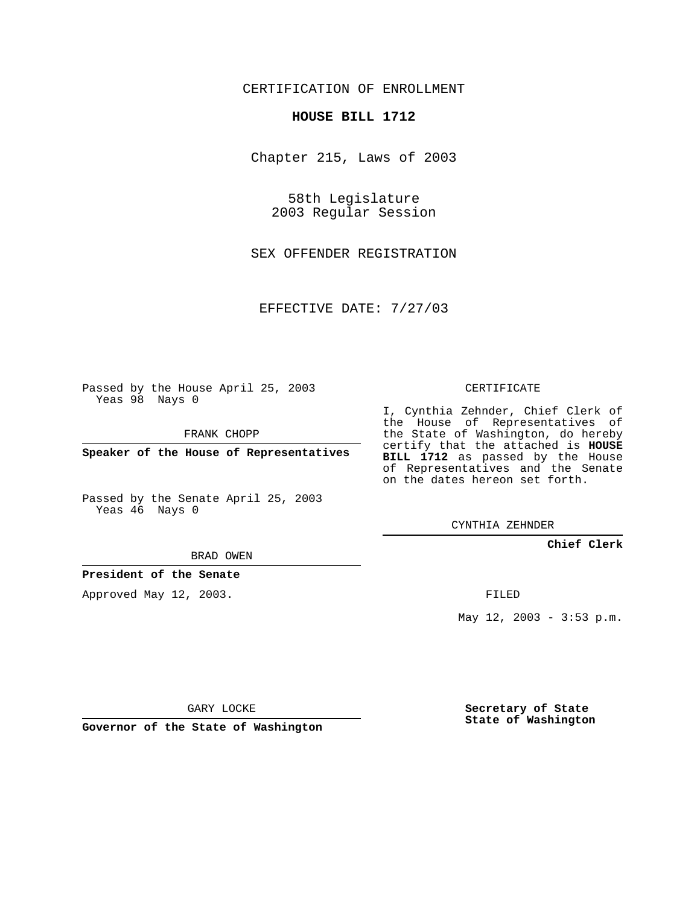CERTIFICATION OF ENROLLMENT

## **HOUSE BILL 1712**

Chapter 215, Laws of 2003

58th Legislature 2003 Regular Session

SEX OFFENDER REGISTRATION

EFFECTIVE DATE: 7/27/03

Passed by the House April 25, 2003 Yeas 98 Nays 0

FRANK CHOPP

**Speaker of the House of Representatives**

Passed by the Senate April 25, 2003 Yeas 46 Nays 0

BRAD OWEN

**President of the Senate**

Approved May 12, 2003.

CERTIFICATE

I, Cynthia Zehnder, Chief Clerk of the House of Representatives of the State of Washington, do hereby certify that the attached is **HOUSE BILL 1712** as passed by the House of Representatives and the Senate on the dates hereon set forth.

CYNTHIA ZEHNDER

**Chief Clerk**

FILED

May 12, 2003 - 3:53 p.m.

GARY LOCKE

**Governor of the State of Washington**

**Secretary of State State of Washington**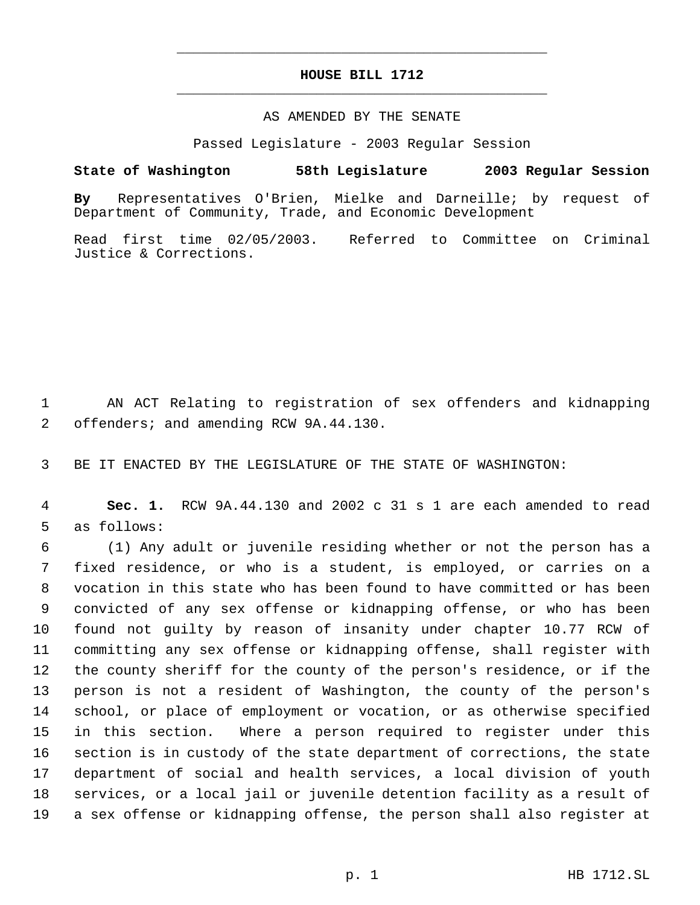## **HOUSE BILL 1712** \_\_\_\_\_\_\_\_\_\_\_\_\_\_\_\_\_\_\_\_\_\_\_\_\_\_\_\_\_\_\_\_\_\_\_\_\_\_\_\_\_\_\_\_\_

\_\_\_\_\_\_\_\_\_\_\_\_\_\_\_\_\_\_\_\_\_\_\_\_\_\_\_\_\_\_\_\_\_\_\_\_\_\_\_\_\_\_\_\_\_

## AS AMENDED BY THE SENATE

Passed Legislature - 2003 Regular Session

## **State of Washington 58th Legislature 2003 Regular Session**

**By** Representatives O'Brien, Mielke and Darneille; by request of Department of Community, Trade, and Economic Development

Read first time 02/05/2003. Referred to Committee on Criminal Justice & Corrections.

 AN ACT Relating to registration of sex offenders and kidnapping offenders; and amending RCW 9A.44.130.

BE IT ENACTED BY THE LEGISLATURE OF THE STATE OF WASHINGTON:

 **Sec. 1.** RCW 9A.44.130 and 2002 c 31 s 1 are each amended to read as follows:

 (1) Any adult or juvenile residing whether or not the person has a fixed residence, or who is a student, is employed, or carries on a vocation in this state who has been found to have committed or has been convicted of any sex offense or kidnapping offense, or who has been found not guilty by reason of insanity under chapter 10.77 RCW of committing any sex offense or kidnapping offense, shall register with the county sheriff for the county of the person's residence, or if the person is not a resident of Washington, the county of the person's school, or place of employment or vocation, or as otherwise specified in this section. Where a person required to register under this section is in custody of the state department of corrections, the state department of social and health services, a local division of youth services, or a local jail or juvenile detention facility as a result of a sex offense or kidnapping offense, the person shall also register at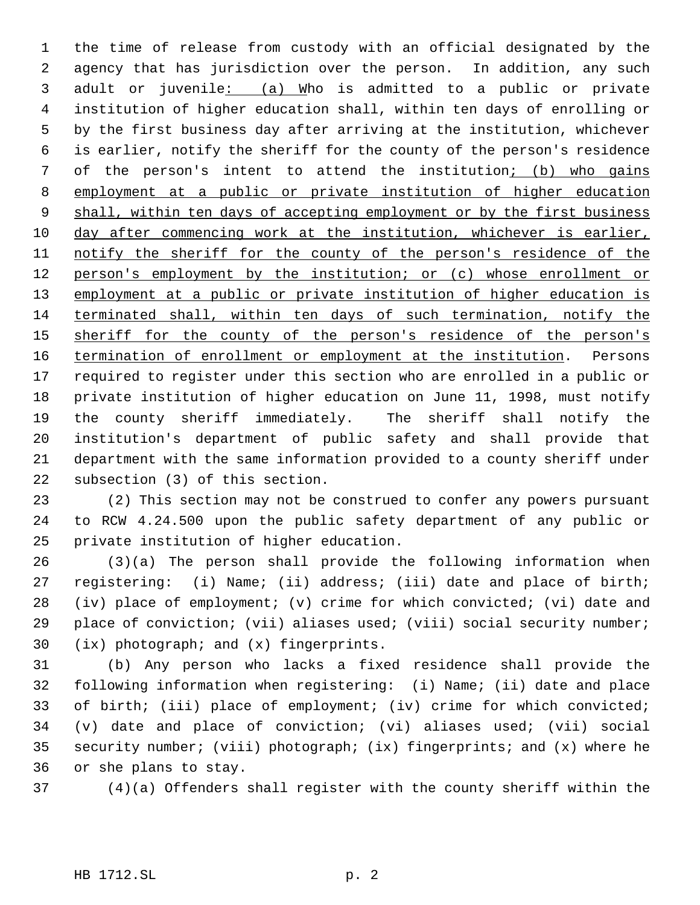the time of release from custody with an official designated by the agency that has jurisdiction over the person. In addition, any such adult or juvenile: (a) Who is admitted to a public or private institution of higher education shall, within ten days of enrolling or by the first business day after arriving at the institution, whichever is earlier, notify the sheriff for the county of the person's residence of the person's intent to attend the institution; (b) who gains employment at a public or private institution of higher education 9 shall, within ten days of accepting employment or by the first business day after commencing work at the institution, whichever is earlier, 11 notify the sheriff for the county of the person's residence of the 12 person's employment by the institution; or (c) whose enrollment or 13 employment at a public or private institution of higher education is terminated shall, within ten days of such termination, notify the 15 sheriff for the county of the person's residence of the person's 16 termination of enrollment or employment at the institution. Persons required to register under this section who are enrolled in a public or private institution of higher education on June 11, 1998, must notify the county sheriff immediately. The sheriff shall notify the institution's department of public safety and shall provide that department with the same information provided to a county sheriff under subsection (3) of this section.

 (2) This section may not be construed to confer any powers pursuant to RCW 4.24.500 upon the public safety department of any public or private institution of higher education.

 (3)(a) The person shall provide the following information when registering: (i) Name; (ii) address; (iii) date and place of birth; (iv) place of employment; (v) crime for which convicted; (vi) date and place of conviction; (vii) aliases used; (viii) social security number; (ix) photograph; and (x) fingerprints.

 (b) Any person who lacks a fixed residence shall provide the following information when registering: (i) Name; (ii) date and place of birth; (iii) place of employment; (iv) crime for which convicted; (v) date and place of conviction; (vi) aliases used; (vii) social security number; (viii) photograph; (ix) fingerprints; and (x) where he or she plans to stay.

(4)(a) Offenders shall register with the county sheriff within the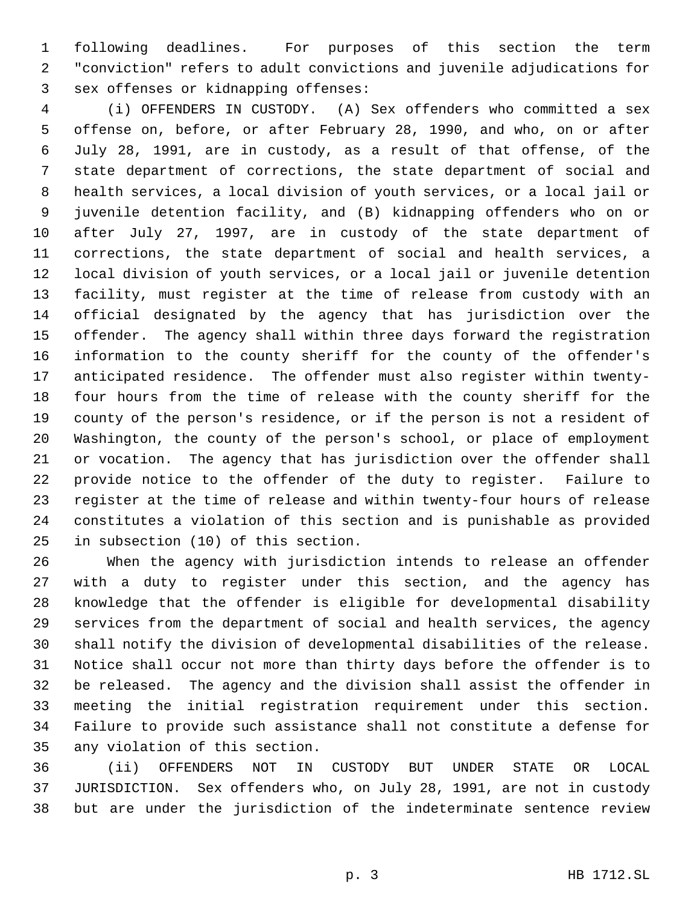following deadlines. For purposes of this section the term "conviction" refers to adult convictions and juvenile adjudications for sex offenses or kidnapping offenses:

 (i) OFFENDERS IN CUSTODY. (A) Sex offenders who committed a sex offense on, before, or after February 28, 1990, and who, on or after July 28, 1991, are in custody, as a result of that offense, of the state department of corrections, the state department of social and health services, a local division of youth services, or a local jail or juvenile detention facility, and (B) kidnapping offenders who on or after July 27, 1997, are in custody of the state department of corrections, the state department of social and health services, a local division of youth services, or a local jail or juvenile detention facility, must register at the time of release from custody with an official designated by the agency that has jurisdiction over the offender. The agency shall within three days forward the registration information to the county sheriff for the county of the offender's anticipated residence. The offender must also register within twenty- four hours from the time of release with the county sheriff for the county of the person's residence, or if the person is not a resident of Washington, the county of the person's school, or place of employment or vocation. The agency that has jurisdiction over the offender shall provide notice to the offender of the duty to register. Failure to register at the time of release and within twenty-four hours of release constitutes a violation of this section and is punishable as provided in subsection (10) of this section.

 When the agency with jurisdiction intends to release an offender with a duty to register under this section, and the agency has knowledge that the offender is eligible for developmental disability services from the department of social and health services, the agency shall notify the division of developmental disabilities of the release. Notice shall occur not more than thirty days before the offender is to be released. The agency and the division shall assist the offender in meeting the initial registration requirement under this section. Failure to provide such assistance shall not constitute a defense for any violation of this section.

 (ii) OFFENDERS NOT IN CUSTODY BUT UNDER STATE OR LOCAL JURISDICTION. Sex offenders who, on July 28, 1991, are not in custody but are under the jurisdiction of the indeterminate sentence review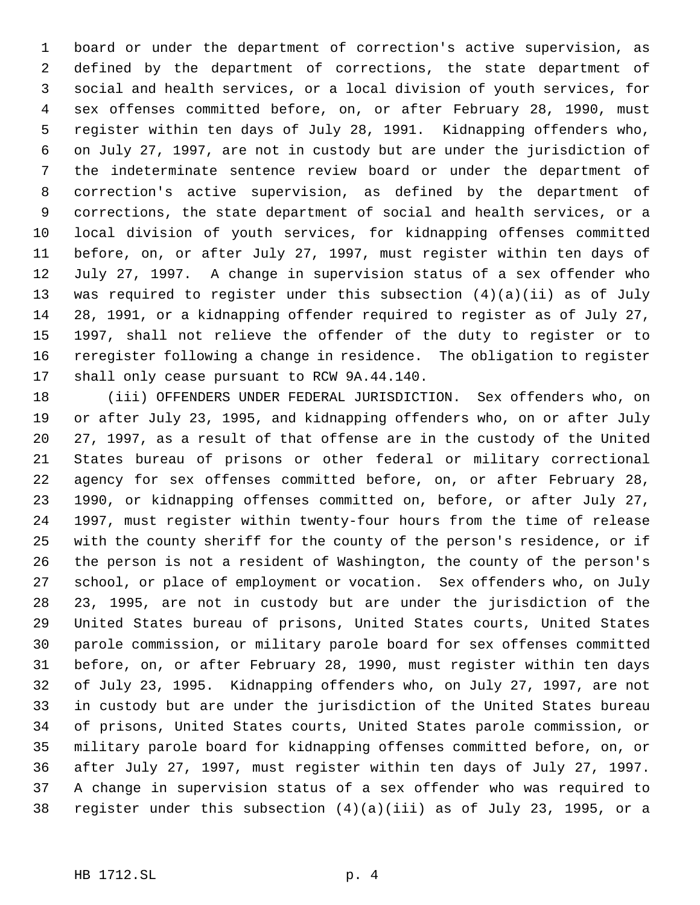board or under the department of correction's active supervision, as defined by the department of corrections, the state department of social and health services, or a local division of youth services, for sex offenses committed before, on, or after February 28, 1990, must register within ten days of July 28, 1991. Kidnapping offenders who, on July 27, 1997, are not in custody but are under the jurisdiction of the indeterminate sentence review board or under the department of correction's active supervision, as defined by the department of corrections, the state department of social and health services, or a local division of youth services, for kidnapping offenses committed before, on, or after July 27, 1997, must register within ten days of July 27, 1997. A change in supervision status of a sex offender who was required to register under this subsection (4)(a)(ii) as of July 28, 1991, or a kidnapping offender required to register as of July 27, 1997, shall not relieve the offender of the duty to register or to reregister following a change in residence. The obligation to register shall only cease pursuant to RCW 9A.44.140.

 (iii) OFFENDERS UNDER FEDERAL JURISDICTION. Sex offenders who, on or after July 23, 1995, and kidnapping offenders who, on or after July 27, 1997, as a result of that offense are in the custody of the United States bureau of prisons or other federal or military correctional agency for sex offenses committed before, on, or after February 28, 1990, or kidnapping offenses committed on, before, or after July 27, 1997, must register within twenty-four hours from the time of release with the county sheriff for the county of the person's residence, or if the person is not a resident of Washington, the county of the person's school, or place of employment or vocation. Sex offenders who, on July 23, 1995, are not in custody but are under the jurisdiction of the United States bureau of prisons, United States courts, United States parole commission, or military parole board for sex offenses committed before, on, or after February 28, 1990, must register within ten days of July 23, 1995. Kidnapping offenders who, on July 27, 1997, are not in custody but are under the jurisdiction of the United States bureau of prisons, United States courts, United States parole commission, or military parole board for kidnapping offenses committed before, on, or after July 27, 1997, must register within ten days of July 27, 1997. A change in supervision status of a sex offender who was required to register under this subsection (4)(a)(iii) as of July 23, 1995, or a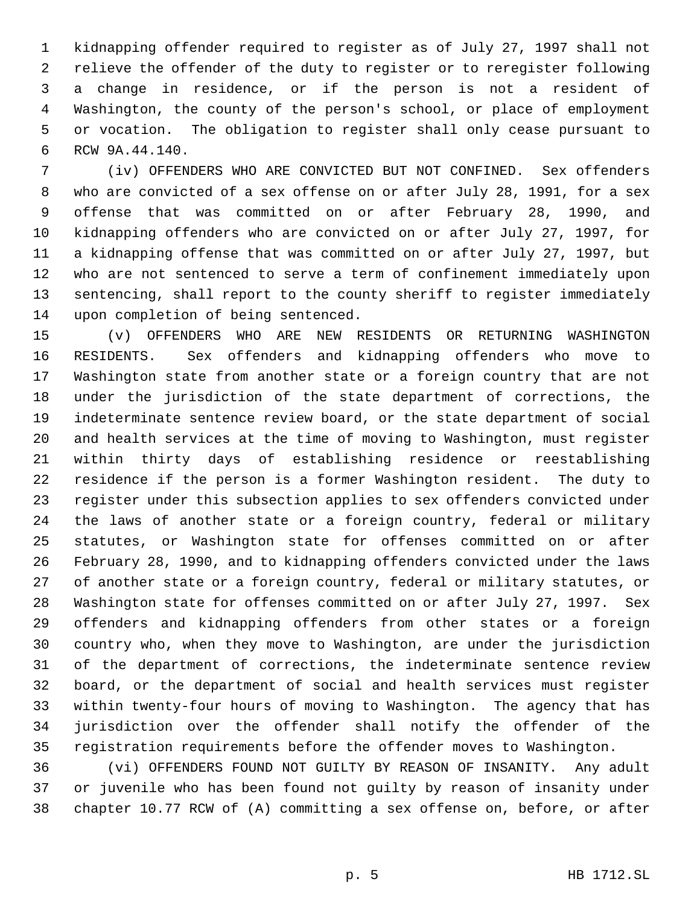kidnapping offender required to register as of July 27, 1997 shall not relieve the offender of the duty to register or to reregister following a change in residence, or if the person is not a resident of Washington, the county of the person's school, or place of employment or vocation. The obligation to register shall only cease pursuant to RCW 9A.44.140.

 (iv) OFFENDERS WHO ARE CONVICTED BUT NOT CONFINED. Sex offenders who are convicted of a sex offense on or after July 28, 1991, for a sex offense that was committed on or after February 28, 1990, and kidnapping offenders who are convicted on or after July 27, 1997, for a kidnapping offense that was committed on or after July 27, 1997, but who are not sentenced to serve a term of confinement immediately upon sentencing, shall report to the county sheriff to register immediately upon completion of being sentenced.

 (v) OFFENDERS WHO ARE NEW RESIDENTS OR RETURNING WASHINGTON RESIDENTS. Sex offenders and kidnapping offenders who move to Washington state from another state or a foreign country that are not under the jurisdiction of the state department of corrections, the indeterminate sentence review board, or the state department of social and health services at the time of moving to Washington, must register within thirty days of establishing residence or reestablishing residence if the person is a former Washington resident. The duty to register under this subsection applies to sex offenders convicted under the laws of another state or a foreign country, federal or military statutes, or Washington state for offenses committed on or after February 28, 1990, and to kidnapping offenders convicted under the laws of another state or a foreign country, federal or military statutes, or Washington state for offenses committed on or after July 27, 1997. Sex offenders and kidnapping offenders from other states or a foreign country who, when they move to Washington, are under the jurisdiction of the department of corrections, the indeterminate sentence review board, or the department of social and health services must register within twenty-four hours of moving to Washington. The agency that has jurisdiction over the offender shall notify the offender of the registration requirements before the offender moves to Washington.

 (vi) OFFENDERS FOUND NOT GUILTY BY REASON OF INSANITY. Any adult or juvenile who has been found not guilty by reason of insanity under chapter 10.77 RCW of (A) committing a sex offense on, before, or after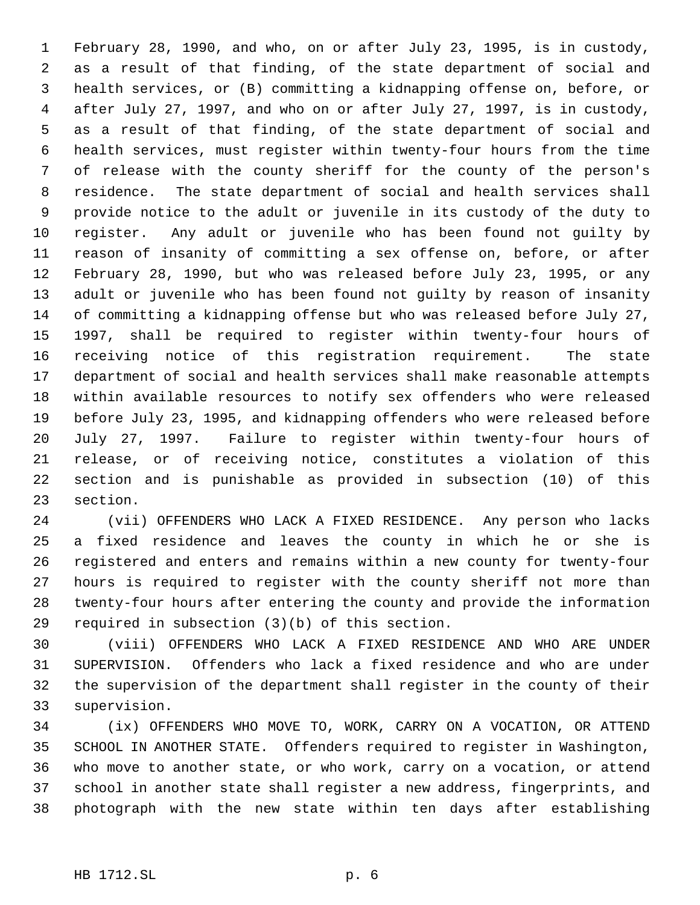February 28, 1990, and who, on or after July 23, 1995, is in custody, as a result of that finding, of the state department of social and health services, or (B) committing a kidnapping offense on, before, or after July 27, 1997, and who on or after July 27, 1997, is in custody, as a result of that finding, of the state department of social and health services, must register within twenty-four hours from the time of release with the county sheriff for the county of the person's residence. The state department of social and health services shall provide notice to the adult or juvenile in its custody of the duty to register. Any adult or juvenile who has been found not guilty by reason of insanity of committing a sex offense on, before, or after February 28, 1990, but who was released before July 23, 1995, or any adult or juvenile who has been found not guilty by reason of insanity of committing a kidnapping offense but who was released before July 27, 1997, shall be required to register within twenty-four hours of receiving notice of this registration requirement. The state department of social and health services shall make reasonable attempts within available resources to notify sex offenders who were released before July 23, 1995, and kidnapping offenders who were released before July 27, 1997. Failure to register within twenty-four hours of release, or of receiving notice, constitutes a violation of this section and is punishable as provided in subsection (10) of this section.

 (vii) OFFENDERS WHO LACK A FIXED RESIDENCE. Any person who lacks a fixed residence and leaves the county in which he or she is registered and enters and remains within a new county for twenty-four hours is required to register with the county sheriff not more than twenty-four hours after entering the county and provide the information required in subsection (3)(b) of this section.

 (viii) OFFENDERS WHO LACK A FIXED RESIDENCE AND WHO ARE UNDER SUPERVISION. Offenders who lack a fixed residence and who are under the supervision of the department shall register in the county of their supervision.

 (ix) OFFENDERS WHO MOVE TO, WORK, CARRY ON A VOCATION, OR ATTEND SCHOOL IN ANOTHER STATE. Offenders required to register in Washington, who move to another state, or who work, carry on a vocation, or attend school in another state shall register a new address, fingerprints, and photograph with the new state within ten days after establishing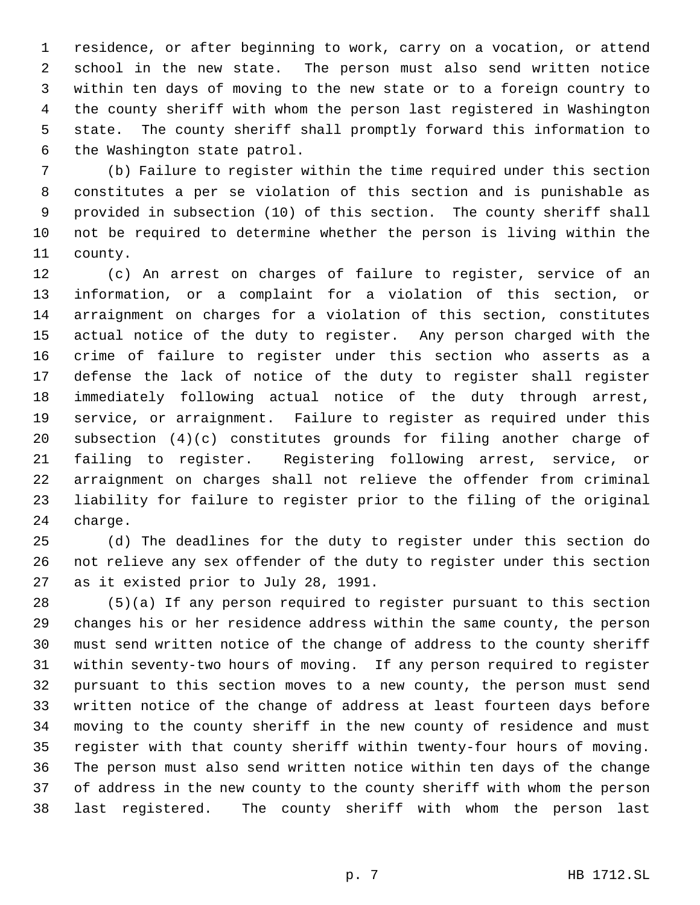residence, or after beginning to work, carry on a vocation, or attend school in the new state. The person must also send written notice within ten days of moving to the new state or to a foreign country to the county sheriff with whom the person last registered in Washington state. The county sheriff shall promptly forward this information to the Washington state patrol.

 (b) Failure to register within the time required under this section constitutes a per se violation of this section and is punishable as provided in subsection (10) of this section. The county sheriff shall not be required to determine whether the person is living within the county.

 (c) An arrest on charges of failure to register, service of an information, or a complaint for a violation of this section, or arraignment on charges for a violation of this section, constitutes actual notice of the duty to register. Any person charged with the crime of failure to register under this section who asserts as a defense the lack of notice of the duty to register shall register immediately following actual notice of the duty through arrest, service, or arraignment. Failure to register as required under this subsection (4)(c) constitutes grounds for filing another charge of failing to register. Registering following arrest, service, or arraignment on charges shall not relieve the offender from criminal liability for failure to register prior to the filing of the original charge.

 (d) The deadlines for the duty to register under this section do not relieve any sex offender of the duty to register under this section as it existed prior to July 28, 1991.

 (5)(a) If any person required to register pursuant to this section changes his or her residence address within the same county, the person must send written notice of the change of address to the county sheriff within seventy-two hours of moving. If any person required to register pursuant to this section moves to a new county, the person must send written notice of the change of address at least fourteen days before moving to the county sheriff in the new county of residence and must register with that county sheriff within twenty-four hours of moving. The person must also send written notice within ten days of the change of address in the new county to the county sheriff with whom the person last registered. The county sheriff with whom the person last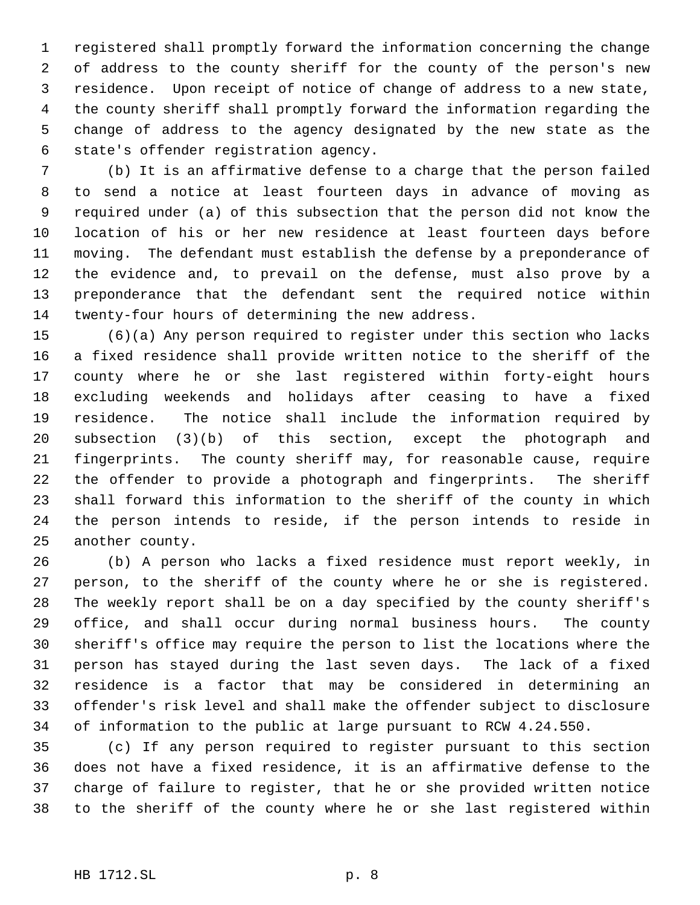registered shall promptly forward the information concerning the change of address to the county sheriff for the county of the person's new residence. Upon receipt of notice of change of address to a new state, the county sheriff shall promptly forward the information regarding the change of address to the agency designated by the new state as the state's offender registration agency.

 (b) It is an affirmative defense to a charge that the person failed to send a notice at least fourteen days in advance of moving as required under (a) of this subsection that the person did not know the location of his or her new residence at least fourteen days before moving. The defendant must establish the defense by a preponderance of the evidence and, to prevail on the defense, must also prove by a preponderance that the defendant sent the required notice within twenty-four hours of determining the new address.

 (6)(a) Any person required to register under this section who lacks a fixed residence shall provide written notice to the sheriff of the county where he or she last registered within forty-eight hours excluding weekends and holidays after ceasing to have a fixed residence. The notice shall include the information required by subsection (3)(b) of this section, except the photograph and fingerprints. The county sheriff may, for reasonable cause, require the offender to provide a photograph and fingerprints. The sheriff shall forward this information to the sheriff of the county in which the person intends to reside, if the person intends to reside in another county.

 (b) A person who lacks a fixed residence must report weekly, in person, to the sheriff of the county where he or she is registered. The weekly report shall be on a day specified by the county sheriff's office, and shall occur during normal business hours. The county sheriff's office may require the person to list the locations where the person has stayed during the last seven days. The lack of a fixed residence is a factor that may be considered in determining an offender's risk level and shall make the offender subject to disclosure of information to the public at large pursuant to RCW 4.24.550.

 (c) If any person required to register pursuant to this section does not have a fixed residence, it is an affirmative defense to the charge of failure to register, that he or she provided written notice to the sheriff of the county where he or she last registered within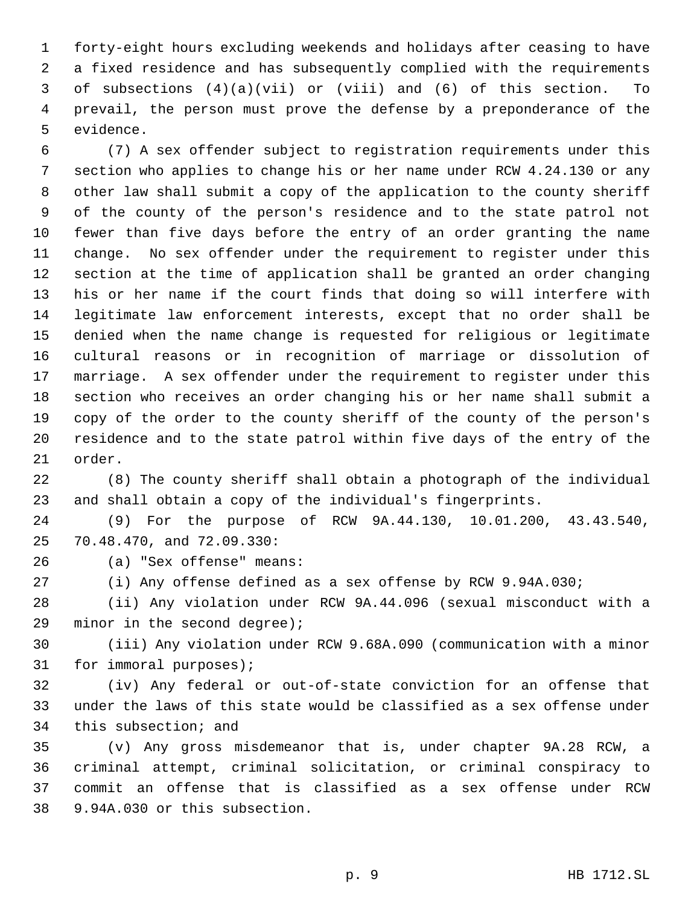forty-eight hours excluding weekends and holidays after ceasing to have a fixed residence and has subsequently complied with the requirements of subsections (4)(a)(vii) or (viii) and (6) of this section. To prevail, the person must prove the defense by a preponderance of the evidence.

 (7) A sex offender subject to registration requirements under this section who applies to change his or her name under RCW 4.24.130 or any other law shall submit a copy of the application to the county sheriff of the county of the person's residence and to the state patrol not fewer than five days before the entry of an order granting the name change. No sex offender under the requirement to register under this section at the time of application shall be granted an order changing his or her name if the court finds that doing so will interfere with legitimate law enforcement interests, except that no order shall be denied when the name change is requested for religious or legitimate cultural reasons or in recognition of marriage or dissolution of marriage. A sex offender under the requirement to register under this section who receives an order changing his or her name shall submit a copy of the order to the county sheriff of the county of the person's residence and to the state patrol within five days of the entry of the order.

 (8) The county sheriff shall obtain a photograph of the individual and shall obtain a copy of the individual's fingerprints.

 (9) For the purpose of RCW 9A.44.130, 10.01.200, 43.43.540, 70.48.470, and 72.09.330:

(a) "Sex offense" means:

(i) Any offense defined as a sex offense by RCW 9.94A.030;

 (ii) Any violation under RCW 9A.44.096 (sexual misconduct with a minor in the second degree);

 (iii) Any violation under RCW 9.68A.090 (communication with a minor for immoral purposes);

 (iv) Any federal or out-of-state conviction for an offense that under the laws of this state would be classified as a sex offense under this subsection; and

 (v) Any gross misdemeanor that is, under chapter 9A.28 RCW, a criminal attempt, criminal solicitation, or criminal conspiracy to commit an offense that is classified as a sex offense under RCW 9.94A.030 or this subsection.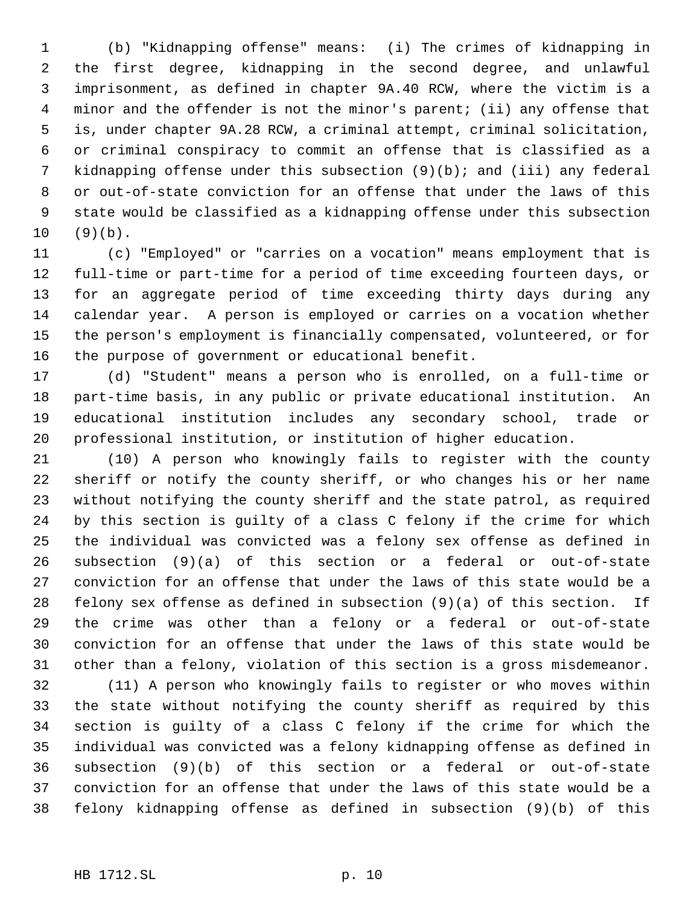(b) "Kidnapping offense" means: (i) The crimes of kidnapping in the first degree, kidnapping in the second degree, and unlawful imprisonment, as defined in chapter 9A.40 RCW, where the victim is a minor and the offender is not the minor's parent; (ii) any offense that is, under chapter 9A.28 RCW, a criminal attempt, criminal solicitation, or criminal conspiracy to commit an offense that is classified as a kidnapping offense under this subsection (9)(b); and (iii) any federal or out-of-state conviction for an offense that under the laws of this state would be classified as a kidnapping offense under this subsection (9)(b).

 (c) "Employed" or "carries on a vocation" means employment that is full-time or part-time for a period of time exceeding fourteen days, or for an aggregate period of time exceeding thirty days during any calendar year. A person is employed or carries on a vocation whether the person's employment is financially compensated, volunteered, or for the purpose of government or educational benefit.

 (d) "Student" means a person who is enrolled, on a full-time or part-time basis, in any public or private educational institution. An educational institution includes any secondary school, trade or professional institution, or institution of higher education.

 (10) A person who knowingly fails to register with the county sheriff or notify the county sheriff, or who changes his or her name without notifying the county sheriff and the state patrol, as required by this section is guilty of a class C felony if the crime for which the individual was convicted was a felony sex offense as defined in subsection (9)(a) of this section or a federal or out-of-state conviction for an offense that under the laws of this state would be a felony sex offense as defined in subsection (9)(a) of this section. If the crime was other than a felony or a federal or out-of-state conviction for an offense that under the laws of this state would be other than a felony, violation of this section is a gross misdemeanor.

 (11) A person who knowingly fails to register or who moves within the state without notifying the county sheriff as required by this section is guilty of a class C felony if the crime for which the individual was convicted was a felony kidnapping offense as defined in subsection (9)(b) of this section or a federal or out-of-state conviction for an offense that under the laws of this state would be a felony kidnapping offense as defined in subsection (9)(b) of this